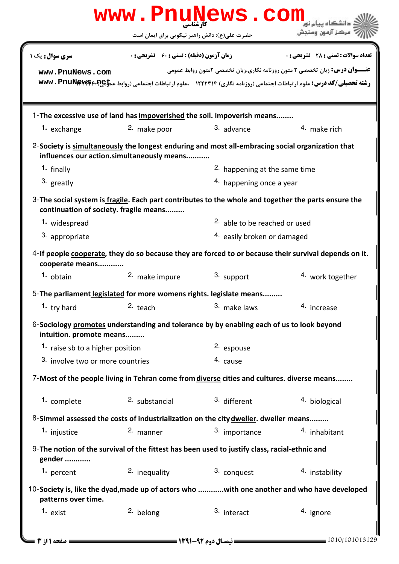|                                                                                     | www.PnuNews.com<br>حضرت علی(ع): دانش راهبر نیکویی برای ایمان است                                                                               |                                                   | مركز آزمون وسنجش                                                                  |  |
|-------------------------------------------------------------------------------------|------------------------------------------------------------------------------------------------------------------------------------------------|---------------------------------------------------|-----------------------------------------------------------------------------------|--|
|                                                                                     |                                                                                                                                                |                                                   | <b>تعداد سوالات : تستی : 28 گشریحی : 0</b>                                        |  |
| سری سوال: یک ۱                                                                      |                                                                                                                                                | <b>زمان آزمون (دقیقه) : تستی : 60 ٪ تشریحی: 0</b> |                                                                                   |  |
| www.PnuNews.com                                                                     | رشته تحصیلی/کد درس: علوم ارتباطات اجتماعی (روزنامه نگاری) ۱۲۲۲۳۱۴ - ،علوم ارتباطات اجتماعی (روابط عموهی»**wwv . PnuNews                        |                                                   | <b>عنـــوان درس:</b> زبان تخصصی ۲ متون روزنامه نگاری،زبان تخصصی ۲متون روابط عمومی |  |
|                                                                                     | 1-The excessive use of land has impoverished the soil. impoverish means                                                                        |                                                   |                                                                                   |  |
| 1. exchange                                                                         | <sup>2.</sup> make poor                                                                                                                        | 3. advance                                        | 4. make rich                                                                      |  |
|                                                                                     | 2-Society is simultaneously the longest enduring and most all-embracing social organization that<br>influences our action.simultaneously means |                                                   |                                                                                   |  |
| 1. finally                                                                          |                                                                                                                                                |                                                   | 2. happening at the same time                                                     |  |
| 3. greatly                                                                          |                                                                                                                                                |                                                   | <sup>4.</sup> happening once a year                                               |  |
|                                                                                     | 3-The social system is fragile. Each part contributes to the whole and together the parts ensure the<br>continuation of society. fragile means |                                                   |                                                                                   |  |
| 1. widespread                                                                       |                                                                                                                                                | 2. able to be reached or used                     |                                                                                   |  |
| 3. appropriate                                                                      |                                                                                                                                                |                                                   | 4. easily broken or damaged                                                       |  |
| cooperate means                                                                     | 4-If people cooperate, they do so because they are forced to or because their survival depends on it.                                          |                                                   |                                                                                   |  |
| $1.$ obtain                                                                         | <sup>2.</sup> make impure                                                                                                                      | 3. support                                        | 4. work together                                                                  |  |
|                                                                                     | 5-The parliament legislated for more womens rights. legislate means                                                                            |                                                   |                                                                                   |  |
| <sup>1</sup> try hard                                                               | $2.$ teach                                                                                                                                     | <sup>3.</sup> make laws                           | <sup>4.</sup> increase                                                            |  |
| intuition. promote means                                                            | 6-Sociology promotes understanding and tolerance by by enabling each of us to look beyond                                                      |                                                   |                                                                                   |  |
| 1. raise sb to a higher position                                                    |                                                                                                                                                | <sup>2.</sup> espouse                             |                                                                                   |  |
| 3. involve two or more countries                                                    |                                                                                                                                                | 4. cause                                          |                                                                                   |  |
|                                                                                     | 7-Most of the people living in Tehran come from diverse cities and cultures. diverse means                                                     |                                                   |                                                                                   |  |
| 1. complete                                                                         | 2. substancial                                                                                                                                 | 3. different                                      | 4. biological                                                                     |  |
|                                                                                     |                                                                                                                                                |                                                   |                                                                                   |  |
| 8-Simmel assessed the costs of industrialization on the city dweller. dweller means |                                                                                                                                                |                                                   |                                                                                   |  |
| 1. injustice                                                                        | 2. manner                                                                                                                                      | 3. importance                                     | 4. inhabitant                                                                     |  |
| gender                                                                              | 9-The notion of the survival of the fittest has been used to justify class, racial-ethnic and                                                  |                                                   |                                                                                   |  |
| 1. percent                                                                          | 2. inequality                                                                                                                                  | 3. conquest                                       | 4. instability                                                                    |  |
| patterns over time.                                                                 | 10-Society is, like the dyad, made up of actors who with one another and who have developed                                                    |                                                   |                                                                                   |  |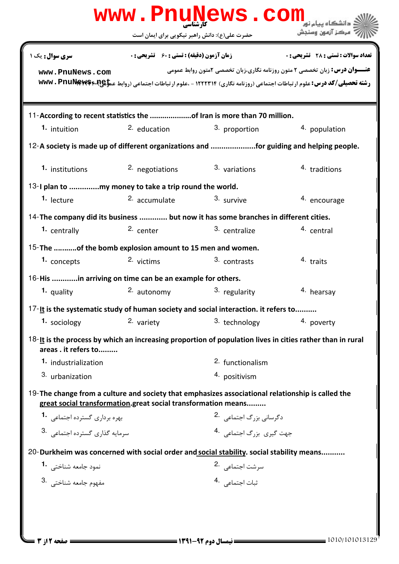| www.PnuNews.com                                                                                                                                                    |                                                    |                                               |                                                                                                                                                                                                                  |  |  |
|--------------------------------------------------------------------------------------------------------------------------------------------------------------------|----------------------------------------------------|-----------------------------------------------|------------------------------------------------------------------------------------------------------------------------------------------------------------------------------------------------------------------|--|--|
|                                                                                                                                                                    |                                                    | حضرت علی(ع): دانش راهبر نیکویی برای ایمان است | مركز آزمون وسنجش                                                                                                                                                                                                 |  |  |
| سری سوال: یک ۱                                                                                                                                                     | <b>زمان آزمون (دقیقه) : تستی : 60 ٪ تشریحی : 0</b> |                                               | تعداد سوالات : تستي : 28 - تشريحي : 0                                                                                                                                                                            |  |  |
| www.PnuNews.com                                                                                                                                                    |                                                    |                                               | <b>عنـــوان درس:</b> زبان تخصصی ۲ متون روزنامه نگاری،زبان تخصصی ۲متون روابط عمومی<br>رشته تحصیلی/کد درس: علوم ارتباطات اجتماعی (روزنامه نگاری) ۱۲۲۲۳۱۴ - ،علوم ارتباطات اجتماعی (روابط عموهای۶۰۳ www. PnuNews۴۰R |  |  |
| 11-According to recent statistics the of Iran is more than 70 million.                                                                                             |                                                    |                                               |                                                                                                                                                                                                                  |  |  |
| 1. intuition                                                                                                                                                       | 2. education                                       | 3. proportion                                 | 4. population                                                                                                                                                                                                    |  |  |
| 12-A society is made up of different organizations and for guiding and helping people.                                                                             |                                                    |                                               |                                                                                                                                                                                                                  |  |  |
| 1. institutions                                                                                                                                                    | 2. negotiations                                    | 3. variations                                 | 4. traditions                                                                                                                                                                                                    |  |  |
|                                                                                                                                                                    |                                                    |                                               |                                                                                                                                                                                                                  |  |  |
| <sup>1.</sup> lecture                                                                                                                                              | 2. accumulate                                      | 3. survive                                    | 4. encourage                                                                                                                                                                                                     |  |  |
| 14- The company did its business  but now it has some branches in different cities.                                                                                |                                                    |                                               |                                                                                                                                                                                                                  |  |  |
| 1. centrally                                                                                                                                                       | 2. center                                          | 3. centralize                                 | <sup>4</sup> central                                                                                                                                                                                             |  |  |
| 15-The of the bomb explosion amount to 15 men and women.                                                                                                           |                                                    |                                               |                                                                                                                                                                                                                  |  |  |
| 1. concepts                                                                                                                                                        | 2. victims                                         | 3. contrasts                                  | 4. traits                                                                                                                                                                                                        |  |  |
| 16-His in arriving on time can be an example for others.                                                                                                           |                                                    |                                               |                                                                                                                                                                                                                  |  |  |
| 1. quality                                                                                                                                                         | 2. autonomy                                        | 3. regularity                                 | 4. hearsay                                                                                                                                                                                                       |  |  |
| 17-It is the systematic study of human society and social interaction. it refers to                                                                                |                                                    |                                               |                                                                                                                                                                                                                  |  |  |
| 1. sociology                                                                                                                                                       | 2. variety                                         | 3. technology                                 | 4. poverty                                                                                                                                                                                                       |  |  |
| 18-It is the process by which an increasing proportion of population lives in cities rather than in rural<br>areas. it refers to                                   |                                                    |                                               |                                                                                                                                                                                                                  |  |  |
| 1. industrialization                                                                                                                                               |                                                    | 2. functionalism                              |                                                                                                                                                                                                                  |  |  |
| 3. urbanization                                                                                                                                                    |                                                    | 4. positivism                                 |                                                                                                                                                                                                                  |  |  |
| 19-The change from a culture and society that emphasizes associational relationship is called the<br>great social transformation.great social transformation means |                                                    |                                               |                                                                                                                                                                                                                  |  |  |
| بهره برداري گسترده اجتماعي 1.                                                                                                                                      |                                                    | دگرسانی بزرگ اجتماعی 2.                       |                                                                                                                                                                                                                  |  |  |
| 3. سرمايه گذارى گسترده اجتماعى                                                                                                                                     |                                                    | جهت گیری بزرگ اجتماعی 4.                      |                                                                                                                                                                                                                  |  |  |
| 20-Durkheim was concerned with social order and social stability. social stability means                                                                           |                                                    |                                               |                                                                                                                                                                                                                  |  |  |
| نمود جامعه شناختی <b>1</b> ۰                                                                                                                                       |                                                    | سرشت اجتماع <sub>ی</sub> 2.                   |                                                                                                                                                                                                                  |  |  |
| مفهوم جامعه شناختى .3                                                                                                                                              |                                                    | .<br>ثبات اجتماعي <sup>4</sup> ۰              |                                                                                                                                                                                                                  |  |  |
|                                                                                                                                                                    |                                                    |                                               |                                                                                                                                                                                                                  |  |  |
|                                                                                                                                                                    |                                                    |                                               |                                                                                                                                                                                                                  |  |  |
|                                                                                                                                                                    |                                                    |                                               |                                                                                                                                                                                                                  |  |  |